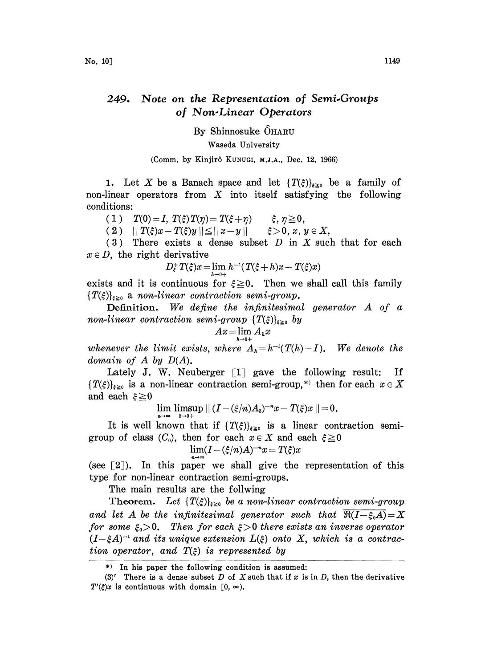## 249. Note on the Representation of Semi.Groups of Non.Linear Operators

By Shinnosuke  $\widehat{O}$ HARU Waseda University

(Comm. by Kinjirô KUNUGI, M.J.A., Dec. 12, 1966)

1. Let X be a Banach space and let  $\{T(\xi)\}_{\xi\geq0}$  be a family of non-linear operators from  $X$  into itself satisfying the following conditions:

(1)  $T(0) = I$ ,  $T(\xi) T(\eta) = T(\xi + \eta)$   $\xi$ ,  $\eta \ge 0$ ,<br>(2)  $|| T(\xi)x - T(\xi)y || \le ||x - y||$   $\xi > 0$ ,  $x, y \in X$ ,

( 2 )  $||T(\xi)x - T(\xi)y|| \leq ||x - y||$ 

(3) There exists a dense subset  $D$  in  $X$  such that for each  $x \in D$ , the right derivative

$$
D_{\xi}^{+}T(\xi)x=\lim_{h\to 0+}h^{-1}(T(\xi+h)x-T(\xi)x)
$$

exists and it is continuous for  $\xi \geq 0$ . Then we shall call this family  ${T(\xi)}_{\xi\geq0}$  a non-linear contraction semi-group.

**Definition.** We define the infinitesimal generator  $A$  of  $\alpha$ non-linear contraction semi-group  $\{T(\xi)\}_{\xi>0}$  by

$$
Ax = \lim_{h \to 0+} A_h x
$$

whenever the limit exists, where  $A_h = h^{-1}(T(h) - I)$ . We denote the domain of  $A$  by  $D(A)$ .

Lately J. W. Neuberger  $\lceil 1 \rceil$  gave the following result: If  $\{T(\xi)\}_{\xi\geq 0}$  is a non-linear contraction semi-group,\*) then for each  $x \in X$ <br>and each  $\xi \geq 0$ 

$$
\lim_{m \to \infty} \limsup_{n \to \infty} || (I - (\xi/n)A_{\delta})^{-n}x - T(\xi)x || = 0.
$$

It is well known that if  $\{T(\xi)\}_{\xi\geq 0}$  is a linear contraction semigroup of class  $(C_0)$ , then for each  $x \in X$  and each  $\xi \ge 0$ 

$$
\lim (I - (\xi/n)A)^{-n}x = T(\xi)x
$$

(see  $[2]$ ). In this paper we shall give the representation of this type for non-linear contraction semi-groups.

The main results are the follwing

Theorem. Let  $\{T(\xi)\}_{\xi\geq 0}$  be a non-linear contraction semi-group and let A be the infinitesimal generator such that  $\Re(I-\xi_0A)=X$ for some  $\xi_0 > 0$ . Then for each  $\xi > 0$  there exists an inverse operator  $(I-\xi A)^{-1}$  and its unique extension  $L(\xi)$  onto X, which is a contraction operator, and  $T(\xi)$  is represented by tion operator, and  $T(\xi)$  is represented by

<sup>\*)</sup> In his paper the following condition is assumed:

<sup>(3)&#</sup>x27; There is a dense subset D of X such that if x is in D, then the derivative  $T'(\xi)x$  is continuous with domain [0,  $\infty$ ).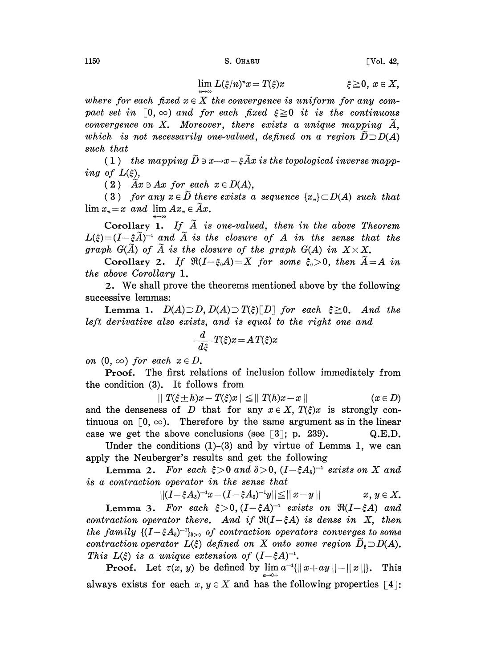1150 S. OHARU [Vol. 42,

$$
\lim_{x \to \infty} L(\xi/n)^* x = T(\xi)x \qquad \qquad \xi \geq 0, \ x \in X,
$$

where for each fixed  $x \in X$  the convergence is uniform for any compact set in  $\lceil 0, \infty \rceil$  and for each fixed  $\xi \geq 0$  it is the continuous convergence on X. Moreover, there exists a unique mapping  $\widetilde{A}$ , which is not necessarily one-valued, defined on a region  $\overline{D} \supset D(A)$ such that

(1) the mapping  $\widetilde{D} \ni x \rightarrow x-\xi \widetilde{A}x$  is the topological inverse mapping of  $L(\xi)$ ,

(2)  $Ax \ni Ax$  for each  $x \in D(A)$ ,

(3) for any  $x \in \tilde{D}$  there exists a sequence  $\{x_n\} \subset D(A)$  such that  $\lim x_n=x$  and  $\lim Ax_n\in \tilde{A}x$ .

Corollary 1. If  $\tilde{A}$  is one-valued, then in the above Theorem  $L(\xi)=(I-\xi \widetilde{A})^{-1}$  and  $\widetilde{A}$  is the closure of  $A$  in the sense that the graph  $G(\widetilde{A})$  of  $\widetilde{A}$  is the closure of the graph  $G(A)$  in  $X\times X$ . graph  $G(\tilde{A})$  of  $\tilde{A}$  is the closure of the graph  $G(A)$  in  $X \times X$ .

Corollary 2. If  $\Re(I-\xi_0A)=X$  for some  $\xi_0>0$ , then  $A=A$  in the above Corollary 1.

2. We shall prove the theorems mentioned above by the following successive lemmas:

**Lemma 1.**  $D(A) \supset D$ ,  $D(A) \supset T(\xi)[D]$  for each  $\xi \ge 0$ . And the left derivative also exists, and is equal to the right one and

$$
\frac{d}{d\xi}T(\xi)x = A T(\xi)x
$$

on  $(0, \infty)$  for each  $x \in D$ .

Proof. The first relations of inclusion follow immediately from the condition (3). It follows from

 $\|T(\xi \pm h)x - T(\xi)x\| \leq \|T(h)x - x\|$  ( $x \in D$ ) and the denseness of D that for any  $x \in X$ ,  $T(\xi)x$  is strongly continuous on  $\lceil 0, \infty \rceil$ . Therefore by the same argument as in the linear case we get the above conclusions (see  $\lceil 3 \rceil$ ; p. 239). Q.E.D.

Under the conditions  $(1)$ – $(3)$  and by virtue of Lemma 1, we can apply the Neuberger's results and get the following

y the Neuberger's results and get the following<br>Lemma 2. For each  $\xi > 0$  and  $\delta > 0$ ,  $(I - \xi A_s)^{-1}$  exists on X and<br>contraction operator in the sense that is a contraction operator in the sense that

$$
||(I-\xi A_s)^{-1}x-(I-\xi A_s)^{-1}y||\leqq||x-y|| \qquad \qquad x,\,y\in X.
$$

**Lemma 3.** For each  $\xi > 0$ ,  $(I - \xi A)^{-1}$  exists on  $\Re(I - \xi A)$  and raction operator there. And if  $\Re(I - \xi A)$  is dense in X, then contraction operator there. And if  $\Re(I-\xi A)$  is dense in X, then the family  $\{(I-\xi A_{\delta})^{-1}\}_{\delta>0}$  of contraction operators converges to some the family  $\{(I-\xi A_\delta)^{-1}\}_{\delta>0}$  of contraction operators converges to some<br>contraction operator  $L(\xi)$  defined on X onto some region  $\widetilde{D}_\xi\!\supset\!\!\!\!\!\!\!\!D(A).$ This  $L(\xi)$  is a unique extension of  $(I-\xi A)^{-1}$ .

**Proof.** Let  $\tau(x, y)$  be defined by  $\lim_{a \to 0+} a^{-1}(||x + ay|| - ||x||)$ . This always exists for each  $x, y \in X$  and has the following properties [4]: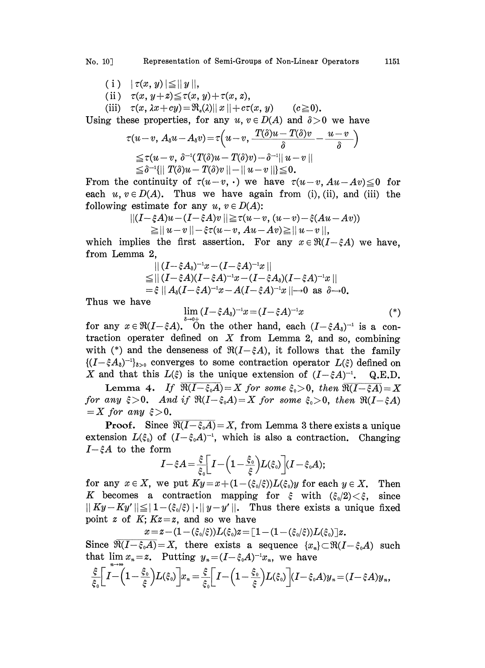- (i)  $|\tau(x, y)| \leq ||y||$ ,
- (ii)  $\tau(x, y+z) \leq \tau(x, y) + \tau(x, z),$
- (iii)  $\tau(x, \lambda x+cy)=\Re_{\epsilon}(\lambda) ||x||+c\tau(x, y)$  ( $c\geqq 0$ ).

Using these properties, for any  $u, v \in D(A)$  and  $\delta > 0$  we have

$$
\tau(u-v, A_s u - A_s v) = \tau\left(u-v, \frac{T(\delta)u - T(\delta)v}{\delta} - \frac{u-v}{\delta}\right)
$$
  
\n
$$
\leq \tau(u-v, \delta^{-1}(T(\delta)u - T(\delta)v) - \delta^{-1}||u-v||
$$
  
\n
$$
\leq \delta^{-1}\{||T(\delta)u - T(\delta)v|| - ||u-v||\} \leq 0.
$$
  
\n $v \in D(A).$  Thus we have again from (i), (ii), and estimate for any  $u, v \in D(A)$ :

From the continuity of  $\tau(u-v, \cdot)$  we have  $\tau(u-v, Au-Av) \leq 0$  for each  $u, v \in D(A)$ . Thus we have again from (i), (ii), and (iii) the following estimate for any  $u, v \in D(A)$ :

$$
\begin{aligned} || (I - \xi A) u - (I - \xi A) v || &\geq \tau (u - v, (u - v) - \xi (Au - Av)) \\ &\geq || u - v || - \xi \tau (u - v, Au - Av) \geq || u - v ||, \end{aligned}
$$

which implies the first assertion. For any  $x \in \Re(I-\xi A)$  we have, from Lemma 2,

$$
||(I-\xi A_{\delta})^{-1}x-(I-\xi A)^{-1}x||
$$
  
\n
$$
\leq ||(I-\xi A)(I-\xi A)^{-1}x-(I-\xi A_{\delta})(I-\xi A)^{-1}x||
$$
  
\n
$$
=\xi || A_{\delta}(I-\xi A)^{-1}x-A(I-\xi A)^{-1}x|| \to 0 \text{ as } \delta \to 0.
$$

Thus we have

$$
\lim_{\delta \to 0} (I - \xi A_{\delta})^{-1} x = (I - \xi A)^{-1} x \tag{*}
$$

Thus we have<br>  $=\xi || A_{\delta}(I-\xi A)^{-1}x - A(I-\xi A)^{-1}x ||\rightarrow 0$  as  $\delta \rightarrow 0$ .<br>  $\lim_{\delta \to 0^+} (I-\xi A_{\delta})^{-1}x = (I-\xi A)^{-1}x$ <br>
for any  $x \in \Re(I-\xi A)$ . On the other hand, each  $(I-\xi A_{\delta})^{-1}$ . for any  $x \in \mathfrak{R}(I - \xi A)$ . On the other hand, each  $(I - \xi A_s)^{-1}$  is a contraction operater defined on X from Lemma 2, and so, combining with (\*) and the denseness of  $\Re(I-\xi A)$ , it follows that the family  $\{(I-\xi A_{\delta})^{-1}\}_{\delta>0}$  converges to some contraction operator  $L(\xi)$  defined on X and that this  $L(\xi)$  is the unique extension of  $(I-\xi A)^{-1}$ . Q.E.D.

Lemma 4. If  $\overline{\Re(I-\xi_0A)}=X$  for some  $\xi_0>0$ , then  $\overline{\Re(I-\xi A)}=X$ for any  $\xi > 0$ . And if  $\Re(I-\xi_0A)=X$  for some  $\xi_0>0$ , then  $\Re(I-\xi A)$  $=X$  for any  $\xi >0$ .

**Proof.** Since  $\overline{\Re(I-\xi_0A)}=X$ , from Lemma 3 there exists a unique extension  $L(\xi_0)$  of  $(I-\xi_0A)^{-1}$ , which is also a contraction. Changing  $I-\xi A$  to the form

$$
I-\xi A=\frac{\xi}{\xi_0}\bigg[I-\bigg(1-\frac{\xi_0}{\xi}\bigg)L(\xi_0)\bigg](I-\xi_0 A);
$$

for any  $x \in X$ , we put  $Ky = x + (1 - (\xi_0/\xi))L(\xi_0)y$  for each  $y \in X$ . Then K becomes a contraction mapping for  $\xi$  with  $(\xi_0/2) < \xi$ , since  $|| Ky - Ky'|| \leq |1 - (\xi_0/\xi) || \cdot ||y - y'||.$  Thus there exists a unique fixed point z of K;  $Kz = z$ , and so we have

$$
x\!=\!z\!-\!(1\!-\!(\xi_{\scriptscriptstyle 0}/\xi))L(\xi_{\scriptscriptstyle 0})z\!=\![1\!-\!(1\!-\!(\xi_{\scriptscriptstyle 0}/\xi))L(\xi_{\scriptscriptstyle 0})]\!z.
$$

Since  $\overline{\Re(I-\xi_0 A)} = X$ , there exists a sequence  $\{x_n\} \subset \Re(I-\xi_0 A)$  such that  $\lim x_n = z$ . Putting  $y_n = (I - \xi_0 A)^{-1} x_n$ , we have

$$
\frac{\xi}{\xi_0}\bigg[I-\bigg(1-\frac{\xi_0}{\xi}\bigg)L(\xi_0)\bigg]x_n=\frac{\xi}{\xi_0}\bigg[I-\bigg(1-\frac{\xi_0}{\xi}\bigg)L(\xi_0)\bigg](I-\xi_0A)y_n=(I-\xi A)y_n,
$$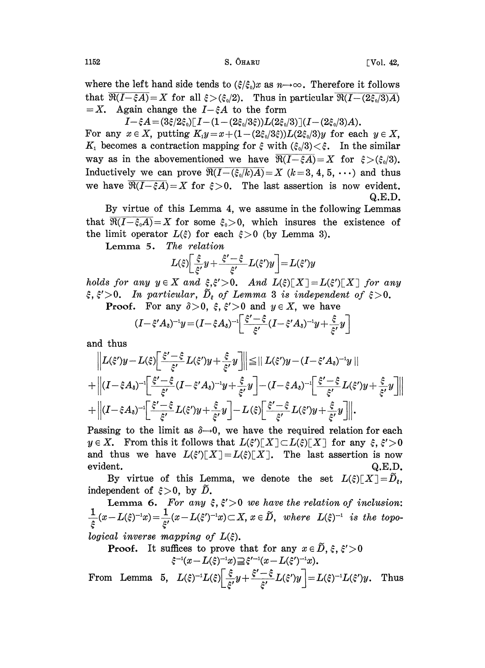where the left hand side tends to  $(\xi/\xi_0)x$  as  $n\rightarrow\infty$ . Therefore it follows that  $\overline{\Re(I-\xi A)} = X$  for all  $\xi > (\xi_0/2)$ . Thus in particular  $\overline{\Re(I-(2\xi_0/3)A)} = X$ . Again change the  $I-\xi A$  to the form Again change the  $I-\xi A$  to the form

 $I-\xi A=(3\xi/2\xi_0)[I-(1-(2\xi_0/3\xi))L(2\xi_0/3)](I-(2\xi_0/3)A).$ For any  $x \in X$ , putting  $K_1y = x + (1 - (2\xi_0/3\xi))L(2\xi_0/3)y$  for each  $y \in X$ ,  $K_1$  becomes a contraction mapping for  $\xi$  with  $(\xi_0/3) < \xi$ . In the similar way as in the abovementioned we have  $\overline{\Re(I-\xi A)}=X$  for  $\xi>(\xi_0/3)$ . Inductively we can prove  $\overline{\mathfrak{R}(I-(\xi_0/k)A)}=X$   $(k=3, 4, 5, \cdots)$  and thus we have  $\overline{\Re(I-\xi A)}=X$  for  $\xi>0$ . The last assertion is now evident.

Q.E.D.

By virtue of this Lemma 4, we assume in the following Lemmas that  $\Re(I-\xi_0A)=X$  for some  $\xi_0>0$ , which insures the existence of the limit operator  $L(\xi)$  for each  $\xi > 0$  (by Lemma 3).

Lemma 5. The relation

$$
L(\xi)\left[\frac{\xi}{\xi'}y+\frac{\xi'-\xi}{\xi'}L(\xi')y\right]=L(\xi')y
$$

 $L(\xi)$   $\left[\frac{1}{\xi'}y + \frac{1}{\xi'}-L(\xi')y\right] = L(\xi')y$ <br>
holds for any  $y \in X$  and  $\xi, \xi' > 0$ . And  $L(\xi)[X] = L(\xi')[X]$  for any  $\xi, \xi' > 0$ . In particular,  $\tilde{D}_{\xi}$  of Lemma 3 is independent of  $\xi > 0$ .

**Proof.** For any  $\delta > 0$ ,  $\xi$ ,  $\xi' > 0$  and  $y \in X$ , we have

$$
(I - \xi' A_{\delta})^{-1} y = (I - \xi A_{\delta})^{-1} \left[ \frac{\xi' - \xi}{\xi'} (I - \xi' A_{\delta})^{-1} y + \frac{\xi}{\xi'} y \right]
$$

and thus

$$
\|L(\xi')y - L(\xi)\left[\frac{\xi'-\xi}{\xi'}L(\xi')y + \frac{\xi}{\xi'}y\right]\| \leq \|L(\xi')y - (I-\xi'A_{\delta})^{-1}y\| + \|(I-\xi A_{\delta})^{-1}\left[\frac{\xi'-\xi}{\xi'}(I-\xi'A_{\delta})^{-1}y + \frac{\xi}{\xi'}y\right] - (I-\xi A_{\delta})^{-1}\left[\frac{\xi'-\xi}{\xi'}L(\xi')y + \frac{\xi}{\xi'}y\right] + \|(I-\xi A_{\delta})^{-1}\left[\frac{\xi'-\xi}{\xi'}L(\xi')y + \frac{\xi}{\xi'}y\right] - L(\xi)\left[\frac{\xi'-\xi}{\xi'}L(\xi')y + \frac{\xi}{\xi'}y\right] \bigg|.
$$

Passing to the limit as  $\delta \rightarrow 0$ , we have the required relation for each  $y \in X$ . From this it follows that  $L(\xi')[X] \subset L(\xi)[X]$  for any  $\xi, \xi' > 0$ and thus we have  $L(\xi')[X]=L(\xi)[X]$ . The last assertion is now evident. Q.E.D.

By virtue of this Lemma, we denote the set  $L(\xi)[X]=\widetilde{D}_{\xi}$ , independent of  $\xi > 0$ , by D.

Lemma 6. For any  $\xi, \xi' > 0$  we have the relation of inclusion: Lemma 6:  $\Gamma$  or any  $\zeta$ ,  $\zeta > 0$  we have the retained<br> $\frac{1}{\zeta}(x-L(\xi)^{-1}x) = \frac{1}{\zeta}(x-L(\xi)^{-1}x) \subset X$ ,  $x \in \tilde{D}$ , where  $L(\xi)$  $\overline{\phantom{a}}$  is the topological inverse mapping of  $L(\xi)$ .

**Proof.** It suffices to prove that for any  $x \in \tilde{D}$ ,  $\xi$ ,  $\xi' > 0$  $\xi^{-1}(x - L(\xi)^{-1}x) \supseteq \xi'^{-1}(x - L(\xi')^{-1}x).$ 

From Lemma 5,  $L(\xi)^{-1}L(\xi)\left[\frac{\xi}{\xi'}y+\frac{\xi'-\xi}{\xi'}L(\xi')y\right]=L(\xi)^{-1}L(\xi')y$ . Thus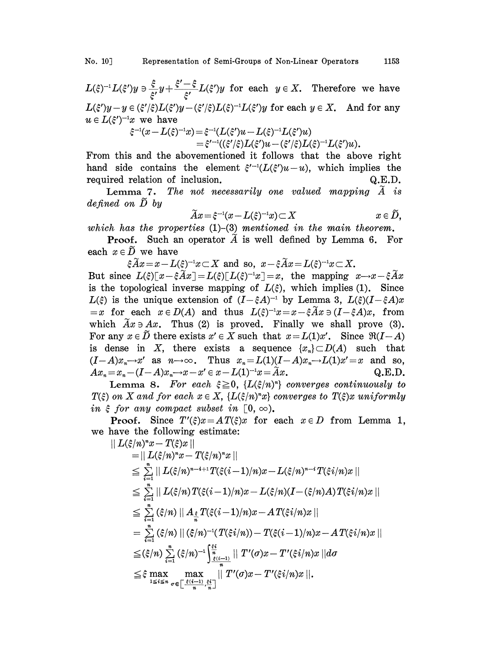$L(\xi)^{-1}L(\xi')y \ni \frac{\xi}{\xi'}y + \frac{\xi'-\xi}{\xi'}L(\xi')y$  for each  $y \in X$ . Therefore we have  $L(\xi')y-y \in (\xi'/\xi)L(\xi')y-(\xi'/\xi)L(\xi)^{-1}L(\xi')y$  for each  $y \in X$ . And for any  $u \in L(\xi')^{-1}x$  we have

$$
\begin{aligned} \xi^{-1}(x-L(\xi)^{-1}x)=&\xi^{-1}(L(\xi')u-L(\xi)^{-1}L(\xi')u)\\ =&\xi'^{-1}((\xi'/\xi)L(\xi')u-(\xi'/\xi)L(\xi)^{-1}L(\xi')u).\end{aligned}
$$

From this and the abovementioned it follows that the above right hand side contains the element  $\xi^{-1}(L(\xi')u-u)$ , which implies the required relation of inclusion.  $Q.E.D.$ 

Lemma 7. The not necessarily one valued mapping  $\tilde{A}$  is defined on  $\tilde{D}$  by

$$
\widetilde{A}x\!=\!\xi^{-1}(x\!-\!L(\xi)^{-1}x)\!\subset\!X\qquad \qquad x\in \widetilde{D},
$$

which has the properties  $(1)$ - $(3)$  mentioned in the main theorem.

**Proof.** Such an operator  $\tilde{A}$  is well defined by Lemma 6. For each  $x \in \tilde{D}$  we have

 $\xi \widetilde{A}x = x - L(\xi)^{-1}x \subset X$  and so,  $x - \xi \widetilde{A}x = L(\xi)^{-1}x \subset X$ .

But since  $L(\xi)[x-\xi \widetilde{A}x]=L(\xi)[L(\xi)^{-1}x]=x$ , the mapping  $x\rightarrow x-\xi \widetilde{A}x$ is the topological inverse mapping of  $L(\xi)$ , which implies (1). Since  $L(\xi)$  is the unique extension of  $(I-\xi A)^{-1}$  by Lemma 3,  $L(\xi)(I-\xi A)x$  $\hat{\xi}$ ) is the unique extension of  $(I-\hat{\xi}A)^{-1}$  by Lemma 3,  $L(\hat{\xi})(I-\hat{\xi}A)x$ <br>x for each  $x \in D(A)$  and thus  $L(\hat{\xi})^{-1}x = x - \hat{\xi}Ax \ni (I-\hat{\xi}A)x$ , from which  $Ax \ni Ax$ . Thus (2) is proved. Finally we shall prove (3). For any  $x \in \tilde{D}$  there exists  $x' \in X$  such that  $x = L(1)x'$ . Since  $\Re(I-A)$ is dense in X, there exists a sequence  $\{x_n\} \subset D(A)$  such that  $(I-A)x_n \rightarrow x'$  as  $n \rightarrow \infty$ . Thus  $x_n = L(1)(I-A)x_n \rightarrow L(1)x' = x$  and so,<br>  $Ax_n = x_n - (I-A)x_n \rightarrow x-x' \in x-L(1)^{-1}x = \tilde{A}x$ . Q.E.D.  $Ax_n = x_n - (I - A)x_n \rightarrow x - x' \in x - L(1)^{-1}x = Ax.$ 

Lemma 8. For each  $\xi \geq 0$ ,  $\{L(\xi/n)^n\}$  converges continuously to  $T(\xi)$  on X and for each  $x \in X$ ,  $\{L(\xi/n)^n x\}$  converges to  $T(\xi)x$  uniformly in  $\xi$  for any compact subset in [0,  $\infty$ ).

**Proof.** Since  $T'(\xi)x = AT(\xi)x$  for each  $x \in D$  from Lemma 1, we have the following estimate:

$$
|| L(\xi/n)^{n}x - T(\xi)x ||
$$
  
\n
$$
= || L(\xi/n)^{n}x - T(\xi/n)^{n}x ||
$$
  
\n
$$
\leq \sum_{i=1}^{n} || L(\xi/n)^{n-i+1}T(\xi(i-1)/n)x - L(\xi/n)^{n-i}T(\xi i/n)x ||
$$
  
\n
$$
\leq \sum_{i=1}^{n} || L(\xi/n)T(\xi(i-1)/n)x - L(\xi/n)(I - (\xi/n)A)T(\xi i/n)x ||
$$
  
\n
$$
\leq \sum_{i=1}^{n} (\xi/n) || A_{\frac{\xi}{n}}T(\xi(i-1)/n)x - AT(\xi i/n)x ||
$$
  
\n
$$
= \sum_{i=1}^{n} (\xi/n) || (\xi/n)^{-1}(T(\xi i/n)) - T(\xi(i-1)/n)x - AT(\xi i/n)x ||
$$
  
\n
$$
\leq (\xi/n) \sum_{i=1}^{n} (\xi/n)^{-1} \int_{\frac{\xi(i-1)}{n}}^{\frac{\xi i}{n}} || T'(\sigma)x - T'(\xi i/n)x || d\sigma
$$
  
\n
$$
\leq \xi \max_{1 \leq i \leq n} \max_{\sigma \in [\frac{\xi(i-1)}{n}, \frac{\xi_i}{n}]} || T'(\sigma)x - T'(\xi i/n)x ||.
$$